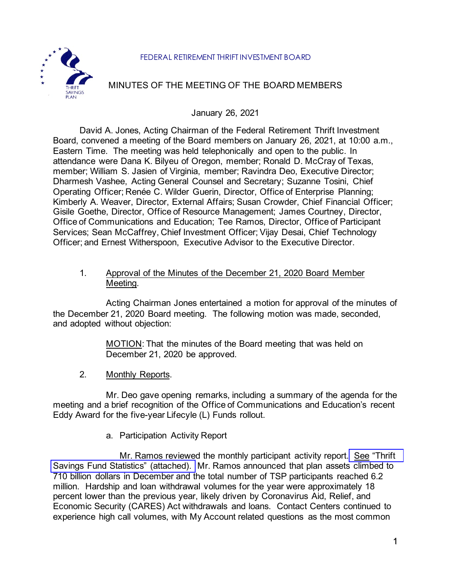#### FEDERAL RETIREMENT THRIFT INVESTMENT BOARD



# MINUTES OF THE MEETING OF THE BOARD MEMBERS

January 26, 2021

David A. Jones, Acting Chairman of the Federal Retirement Thrift Investment Board, convened a meeting of the Board members on January 26, 2021, at 10:00 a.m., Eastern Time. The meeting was held telephonically and open to the public. In attendance were Dana K. Bilyeu of Oregon, member; Ronald D. McCray of Texas, member; William S. Jasien of Virginia, member; Ravindra Deo, Executive Director; Dharmesh Vashee, Acting General Counsel and Secretary; Suzanne Tosini, Chief Operating Officer; Renée C. Wilder Guerin, Director, Office of Enterprise Planning; Kimberly A. Weaver, Director, External Affairs; Susan Crowder, Chief Financial Officer; Gisile Goethe, Director, Office of Resource Management; James Courtney, Director, Office of Communications and Education; Tee Ramos, Director, Office of Participant Services; Sean McCaffrey, Chief Investment Officer; Vijay Desai, Chief Technology Officer; and Ernest Witherspoon, Executive Advisor to the Executive Director.

### 1. Approval of the Minutes of the December 21, 2020 Board Member Meeting.

Acting Chairman Jones entertained a motion for approval of the minutes of the December 21, 2020 Board meeting. The following motion was made, seconded, and adopted without objection:

> MOTION: That the minutes of the Board meeting that was held on December 21, 2020 be approved.

2. Monthly Reports.

Mr. Deo gave opening remarks, including a summary of the agenda for the meeting and a brief recognition of the Office of Communications and Education's recent Eddy Award for the five-year Lifecyle (L) Funds rollout.

a. Participation Activity Report

Mr. Ramos reviewed the monthly participant activity report. See ["Thrift](https://www.frtib.gov/pdf/minutes/2021/Jan/MM-2021Jan-Att1b.pdf) [Savings Fund Statistics" \(attached\).](https://www.frtib.gov/pdf/minutes/2021/Jan/MM-2021Jan-Att1b.pdf) Mr. Ramos announced that plan assets climbed to 710 billion dollars in December and the total number of TSP participants reached 6.2 million. Hardship and loan withdrawal volumes for the year were approximately 18 percent lower than the previous year, likely driven by Coronavirus Aid, Relief, and Economic Security (CARES) Act withdrawals and loans. Contact Centers continued to experience high call volumes, with My Account related questions as the most common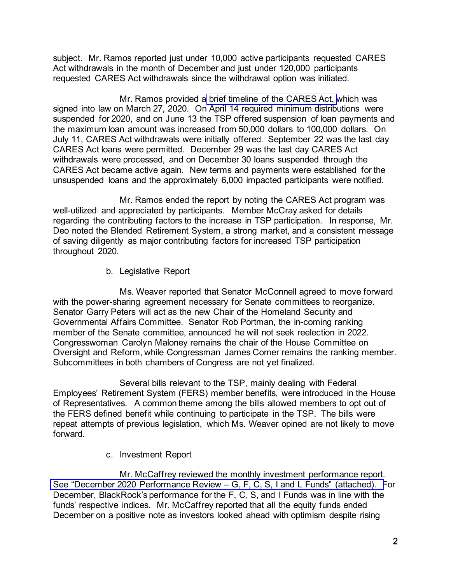subject. Mr. Ramos reported just under 10,000 active participants requested CARES Act withdrawals in the month of December and just under 120,000 participants requested CARES Act withdrawals since the withdrawal option was initiated.

Mr. Ramos provided a [brief timeline of the CARES Act, w](https://www.frtib.gov/pdf/minutes/2021/Jan/MM-2021Jan-Att1a.pdf)hich was signed into law on March 27, 2020. On April 14 required minimum distributions were suspended for 2020, and on June 13 the TSP offered suspension of loan payments and the maximum loan amount was increased from 50,000 dollars to 100,000 dollars. On July 11, CARES Act withdrawals were initially offered. September 22 was the last day CARES Act loans were permitted. December 29 was the last day CARES Act withdrawals were processed, and on December 30 loans suspended through the CARES Act became active again. New terms and payments were established for the unsuspended loans and the approximately 6,000 impacted participants were notified.

Mr. Ramos ended the report by noting the CARES Act program was well-utilized and appreciated by participants. Member McCray asked for details regarding the contributing factors to the increase in TSP participation. In response, Mr. Deo noted the Blended Retirement System, a strong market, and a consistent message of saving diligently as major contributing factors for increased TSP participation throughout 2020.

b. Legislative Report

Ms. Weaver reported that Senator McConnell agreed to move forward with the power-sharing agreement necessary for Senate committees to reorganize. Senator Garry Peters will act as the new Chair of the Homeland Security and Governmental Affairs Committee. Senator Rob Portman, the in-coming ranking member of the Senate committee, announced he will not seek reelection in 2022. Congresswoman Carolyn Maloney remains the chair of the House Committee on Oversight and Reform, while Congressman James Comer remains the ranking member. Subcommittees in both chambers of Congress are not yet finalized.

Several bills relevant to the TSP, mainly dealing with Federal Employees' Retirement System (FERS) member benefits, were introduced in the House of Representatives. A common theme among the bills allowed members to opt out of the FERS defined benefit while continuing to participate in the TSP. The bills were repeat attempts of previous legislation, which Ms. Weaver opined are not likely to move forward.

c. Investment Report

Mr. McCaffrey reviewed the monthly investment performance report. See "December [2020 Performance Review – G, F, C, S, I and L Funds" \(attached\). F](https://www.frtib.gov/pdf/minutes/2021/Jan/MM-2021Jan-Att2.pdf)or December, BlackRock's performance for the F, C, S, and I Funds was in line with the funds' respective indices. Mr. McCaffrey reported that all the equity funds ended December on a positive note as investors looked ahead with optimism despite rising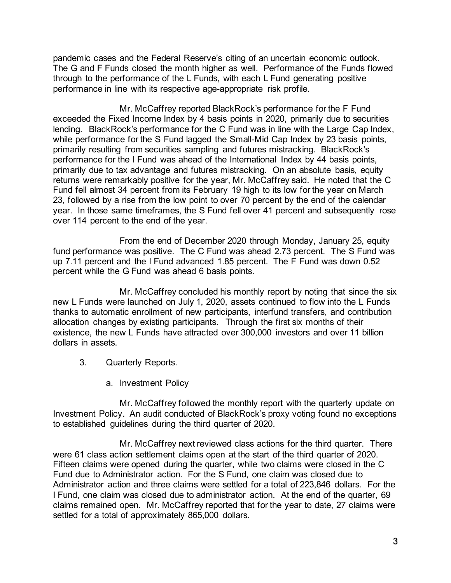pandemic cases and the Federal Reserve's citing of an uncertain economic outlook. The G and F Funds closed the month higher as well. Performance of the Funds flowed through to the performance of the L Funds, with each L Fund generating positive performance in line with its respective age-appropriate risk profile.

Mr. McCaffrey reported BlackRock's performance for the F Fund exceeded the Fixed Income Index by 4 basis points in 2020, primarily due to securities lending. BlackRock's performance for the C Fund was in line with the Large Cap Index, while performance for the S Fund lagged the Small-Mid Cap Index by 23 basis points, primarily resulting from securities sampling and futures mistracking. BlackRock's performance for the I Fund was ahead of the International Index by 44 basis points, primarily due to tax advantage and futures mistracking. On an absolute basis, equity returns were remarkably positive for the year, Mr. McCaffrey said. He noted that the C Fund fell almost 34 percent from its February 19 high to its low for the year on March 23, followed by a rise from the low point to over 70 percent by the end of the calendar year. In those same timeframes, the S Fund fell over 41 percent and subsequently rose over 114 percent to the end of the year.

From the end of December 2020 through Monday, January 25, equity fund performance was positive. The C Fund was ahead 2.73 percent. The S Fund was up 7.11 percent and the I Fund advanced 1.85 percent. The F Fund was down 0.52 percent while the G Fund was ahead 6 basis points.

Mr. McCaffrey concluded his monthly report by noting that since the six new L Funds were launched on July 1, 2020, assets continued to flow into the L Funds thanks to automatic enrollment of new participants, interfund transfers, and contribution allocation changes by existing participants. Through the first six months of their existence, the new L Funds have attracted over 300,000 investors and over 11 billion dollars in assets.

- 3. Quarterly Reports.
	- a. Investment Policy

Mr. McCaffrey followed the monthly report with the quarterly update on Investment Policy. An audit conducted of BlackRock's proxy voting found no exceptions to established guidelines during the third quarter of 2020.

Mr. McCaffrey next reviewed class actions for the third quarter. There were 61 class action settlement claims open at the start of the third quarter of 2020. Fifteen claims were opened during the quarter, while two claims were closed in the C Fund due to Administrator action. For the S Fund, one claim was closed due to Administrator action and three claims were settled for a total of 223,846 dollars. For the I Fund, one claim was closed due to administrator action. At the end of the quarter, 69 claims remained open. Mr. McCaffrey reported that for the year to date, 27 claims were settled for a total of approximately 865,000 dollars.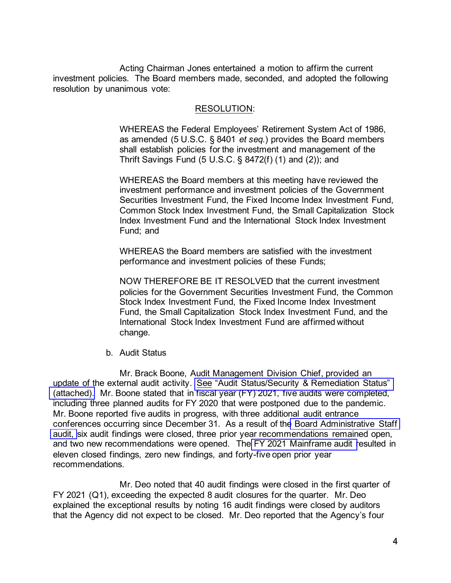Acting Chairman Jones entertained a motion to affirm the current investment policies. The Board members made, seconded, and adopted the following resolution by unanimous vote:

#### RESOLUTION:

WHEREAS the Federal Employees' Retirement System Act of 1986, as amended (5 U.S.C. § 8401 *et seq.*) provides the Board members shall establish policies for the investment and management of the Thrift Savings Fund (5 U.S.C. § 8472(f) (1) and (2)); and

WHEREAS the Board members at this meeting have reviewed the investment performance and investment policies of the Government Securities Investment Fund, the Fixed Income Index Investment Fund, Common Stock Index Investment Fund, the Small Capitalization Stock Index Investment Fund and the International Stock Index Investment Fund; and

WHEREAS the Board members are satisfied with the investment performance and investment policies of these Funds;

NOW THEREFORE BE IT RESOLVED that the current investment policies for the Government Securities Investment Fund, the Common Stock Index Investment Fund, the Fixed Income Index Investment Fund, the Small Capitalization Stock Index Investment Fund, and the International Stock Index Investment Fund are affirmed without change.

b. Audit Status

Mr. Brack Boone, Audit Management Division Chief, provided an update of the external audit activity. See "Audit Status/Security & Remediation Status" [\(attached\).](https://www.frtib.gov/pdf/minutes/2021/Jan/MM-2021Jan-Att3a.pdf) Mr. Boone stated that in fiscal year (FY) 2021, five audits were completed, including three planned audits for FY 2020 that were postponed due to the pandemic. Mr. Boone reported five audits in progress, with three additional audit entrance conferences occurring since December 31. As a result of the Board [Administrative Staff](https://www.frtib.gov/pdf/minutes/2021/Jan/MM-2021Jan-Att3c.pdf)  [audit,](https://www.frtib.gov/pdf/minutes/2021/Jan/MM-2021Jan-Att3c.pdf) six audit findings were closed, three prior year recommendations remained open, and two new recommendations were opened. Th[e FY 2021 Mainframe audit r](https://www.frtib.gov/pdf/minutes/2021/Jan/MM-2021Jan-Att3b.pdf)esulted in eleven closed findings, zero new findings, and forty-five open prior year recommendations.

Mr. Deo noted that 40 audit findings were closed in the first quarter of FY 2021 (Q1), exceeding the expected 8 audit closures for the quarter. Mr. Deo explained the exceptional results by noting 16 audit findings were closed by auditors that the Agency did not expect to be closed. Mr. Deo reported that the Agency's four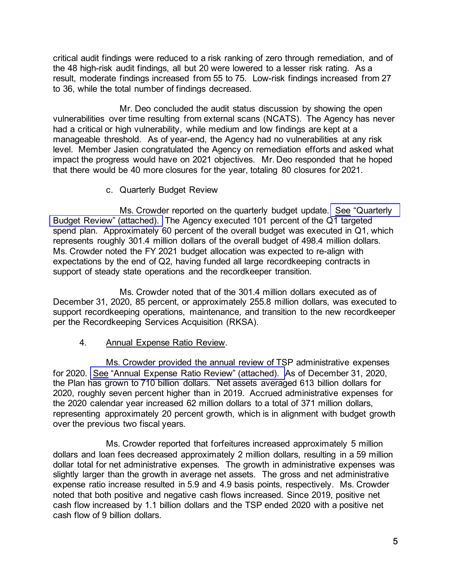critical audit findings were reduced to a risk ranking of zero through remediation, and of the 48 high-risk audit findings, all but 20 were lowered to a lesser risk rating. As a result, moderate findings increased from 55 to 75. Low-risk findings increased from 27 to 36, while the total number of findings decreased.

Mr. Deo concluded the audit status discussion by showing the open vulnerabilities over time resulting from external scans (NCATS). The Agency has never had a critical or high vulnerability, while medium and low findings are kept at a manageable threshold. As of year-end, the Agency had no vulnerabilities at any risk level. Member Jasien congratulated the Agency on remediation efforts and asked what impact the progress would have on 2021 objectives. Mr. Deo responded that he hoped that there would be 40 more closures for the year, totaling 80 closures for 2021.

c. Quarterly Budget Review

Ms. Crowder reported on the quarterly budget update. See ["Quarterly](https://www.frtib.gov/pdf/minutes/2021/Jan/MM-2021Jan-Att4.pdf) [Budget Review" \(attached\).](https://www.frtib.gov/pdf/minutes/2021/Jan/MM-2021Jan-Att4.pdf) The Agency executed 101 percent of the Q1 targeted spend plan. Approximately 60 percent of the overall budget was executed in Q1, which represents roughly 301.4 million dollars of the overall budget of 498.4 million dollars. Ms. Crowder noted the FY 2021 budget allocation was expected to re-align with expectations by the end of Q2, having funded all large recordkeeping contracts in support of steady state operations and the recordkeeper transition.

Ms. Crowder noted that of the 301.4 million dollars executed as of December 31, 2020, 85 percent, or approximately 255.8 million dollars, was executed to support recordkeeping operations, maintenance, and transition to the new recordkeeper per the Recordkeeping Services Acquisition (RKSA).

4. Annual Expense Ratio Review.

Ms. Crowder provided the annual review of TSP administrative expenses for 2020. See ["Annual Expense Ratio Review" \(attached\).](https://www.frtib.gov/pdf/minutes/2021/Jan/MM-2021Jan-Att5.pdf) As of December 31, 2020, the Plan has grown to 710 billion dollars. Net assets averaged 613 billion dollars for 2020, roughly seven percent higher than in 2019. Accrued administrative expenses for the 2020 calendar year increased 62 million dollars to a total of 371 million dollars, representing approximately 20 percent growth, which is in alignment with budget growth over the previous two fiscal years.

Ms. Crowder reported that forfeitures increased approximately 5 million dollars and loan fees decreased approximately 2 million dollars, resulting in a 59 million dollar total for net administrative expenses. The growth in administrative expenses was slightly larger than the growth in average net assets. The gross and net administrative expense ratio increase resulted in 5.9 and 4.9 basis points, respectively. Ms. Crowder noted that both positive and negative cash flows increased. Since 2019, positive net cash flow increased by 1.1 billion dollars and the TSP ended 2020 with a positive net cash flow of 9 billion dollars.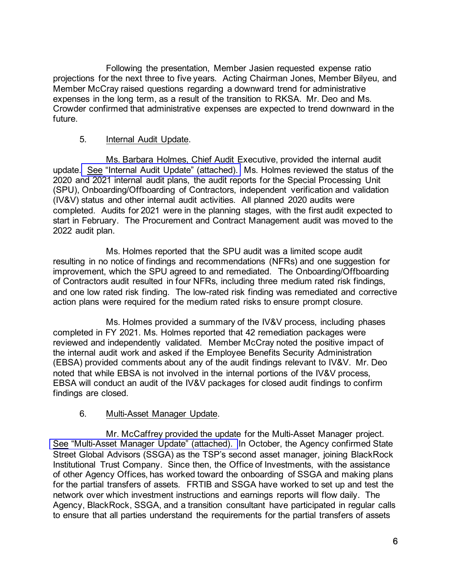Following the presentation, Member Jasien requested expense ratio projections for the next three to five years. Acting Chairman Jones, Member Bilyeu, and Member McCray raised questions regarding a downward trend for administrative expenses in the long term, as a result of the transition to RKSA. Mr. Deo and Ms. Crowder confirmed that administrative expenses are expected to trend downward in the future.

### 5. Internal Audit Update.

Ms. Barbara Holmes, Chief Audit Executive, provided the internal audit update. See ["Internal Audit Update" \(attached\).](https://www.frtib.gov/pdf/minutes/2021/Jan/MM-2021Jan-Att6.pdf) Ms. Holmes reviewed the status of the 2020 and 2021 internal audit plans, the audit reports for the Special Processing Unit (SPU), Onboarding/Offboarding of Contractors, independent verification and validation (IV&V) status and other internal audit activities. All planned 2020 audits were completed. Audits for 2021 were in the planning stages, with the first audit expected to start in February. The Procurement and Contract Management audit was moved to the 2022 audit plan.

Ms. Holmes reported that the SPU audit was a limited scope audit resulting in no notice of findings and recommendations (NFRs) and one suggestion for improvement, which the SPU agreed to and remediated. The Onboarding/Offboarding of Contractors audit resulted in four NFRs, including three medium rated risk findings, and one low rated risk finding. The low-rated risk finding was remediated and corrective action plans were required for the medium rated risks to ensure prompt closure.

Ms. Holmes provided a summary of the IV&V process, including phases completed in FY 2021. Ms. Holmes reported that 42 remediation packages were reviewed and independently validated. Member McCray noted the positive impact of the internal audit work and asked if the Employee Benefits Security Administration (EBSA) provided comments about any of the audit findings relevant to IV&V. Mr. Deo noted that while EBSA is not involved in the internal portions of the IV&V process, EBSA will conduct an audit of the IV&V packages for closed audit findings to confirm findings are closed.

#### 6. Multi-Asset Manager Update.

Mr. McCaffrey provided the update for the Multi-Asset Manager project. [See "Multi-Asset Manager Update" \(attached\).](https://www.frtib.gov/pdf/minutes/2021/Jan/MM-2021Jan-Att7.pdf) In October, the Agency confirmed State Street Global Advisors (SSGA) as the TSP's second asset manager, joining BlackRock Institutional Trust Company. Since then, the Office of Investments, with the assistance of other Agency Offices, has worked toward the onboarding of SSGA and making plans for the partial transfers of assets. FRTIB and SSGA have worked to set up and test the network over which investment instructions and earnings reports will flow daily. The Agency, BlackRock, SSGA, and a transition consultant have participated in regular calls to ensure that all parties understand the requirements for the partial transfers of assets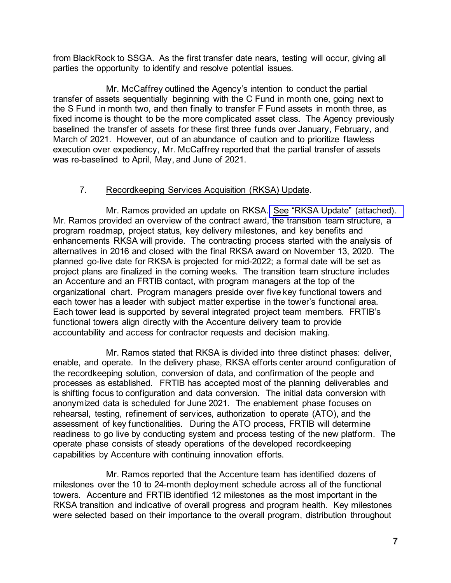from BlackRock to SSGA. As the first transfer date nears, testing will occur, giving all parties the opportunity to identify and resolve potential issues.

Mr. McCaffrey outlined the Agency's intention to conduct the partial transfer of assets sequentially beginning with the C Fund in month one, going next to the S Fund in month two, and then finally to transfer F Fund assets in month three, as fixed income is thought to be the more complicated asset class. The Agency previously baselined the transfer of assets for these first three funds over January, February, and March of 2021. However, out of an abundance of caution and to prioritize flawless execution over expediency, Mr. McCaffrey reported that the partial transfer of assets was re-baselined to April, May, and June of 2021.

## 7. Recordkeeping Services Acquisition (RKSA) Update.

Mr. Ramos provided an update on RKSA. [See "RKSA Update" \(attached\).](https://www.frtib.gov/pdf/minutes/2021/Jan/MM-2021Jan-Att8.pdf) Mr. Ramos provided an overview of the contract award, the transition team structure, a program roadmap, project status, key delivery milestones, and key benefits and enhancements RKSA will provide. The contracting process started with the analysis of alternatives in 2016 and closed with the final RKSA award on November 13, 2020. The planned go-live date for RKSA is projected for mid-2022; a formal date will be set as project plans are finalized in the coming weeks. The transition team structure includes an Accenture and an FRTIB contact, with program managers at the top of the organizational chart. Program managers preside over five key functional towers and each tower has a leader with subject matter expertise in the tower's functional area. Each tower lead is supported by several integrated project team members. FRTIB's functional towers align directly with the Accenture delivery team to provide accountability and access for contractor requests and decision making.

Mr. Ramos stated that RKSA is divided into three distinct phases: deliver, enable, and operate. In the delivery phase, RKSA efforts center around configuration of the recordkeeping solution, conversion of data, and confirmation of the people and processes as established. FRTIB has accepted most of the planning deliverables and is shifting focus to configuration and data conversion. The initial data conversion with anonymized data is scheduled for June 2021. The enablement phase focuses on rehearsal, testing, refinement of services, authorization to operate (ATO), and the assessment of key functionalities. During the ATO process, FRTIB will determine readiness to go live by conducting system and process testing of the new platform. The operate phase consists of steady operations of the developed recordkeeping capabilities by Accenture with continuing innovation efforts.

Mr. Ramos reported that the Accenture team has identified dozens of milestones over the 10 to 24-month deployment schedule across all of the functional towers. Accenture and FRTIB identified 12 milestones as the most important in the RKSA transition and indicative of overall progress and program health. Key milestones were selected based on their importance to the overall program, distribution throughout